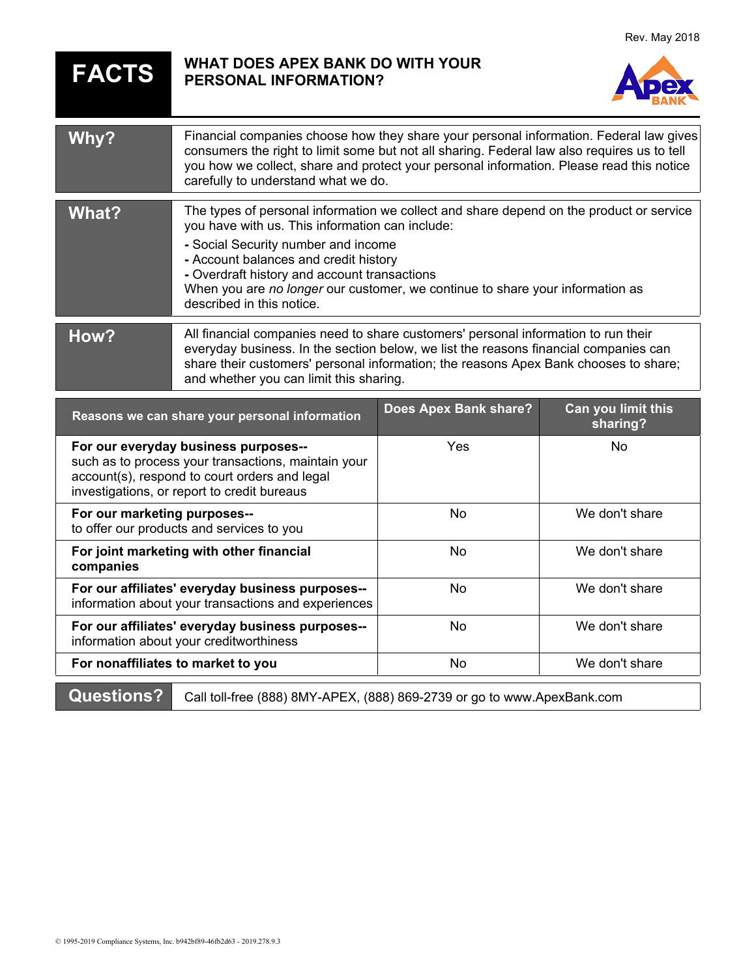## **FACTS WHAT DOES APEX BANK DO WITH YOUR PERSONAL INFORMATION?**



| Why?  | Financial companies choose how they share your personal information. Federal law gives<br>consumers the right to limit some but not all sharing. Federal law also requires us to tell<br>you how we collect, share and protect your personal information. Please read this notice<br>carefully to understand what we do.                                                                 |
|-------|------------------------------------------------------------------------------------------------------------------------------------------------------------------------------------------------------------------------------------------------------------------------------------------------------------------------------------------------------------------------------------------|
| What? | The types of personal information we collect and share depend on the product or service<br>you have with us. This information can include:<br>- Social Security number and income<br>- Account balances and credit history<br>- Overdraft history and account transactions<br>When you are no longer our customer, we continue to share your information as<br>described in this notice. |
| How?  | All financial companies need to share customers' personal information to run their<br>everyday business. In the section below, we list the reasons financial companies can<br>share their customers' personal information; the reasons Apex Bank chooses to share;<br>and whether you can limit this sharing.                                                                            |

| Reasons we can share your personal information                                                                                                                                              | Does Apex Bank share? | Can you limit this<br>sharing? |
|---------------------------------------------------------------------------------------------------------------------------------------------------------------------------------------------|-----------------------|--------------------------------|
| For our everyday business purposes--<br>such as to process your transactions, maintain your<br>account(s), respond to court orders and legal<br>investigations, or report to credit bureaus | Yes                   | No.                            |
| For our marketing purposes--<br>to offer our products and services to you                                                                                                                   | No.                   | We don't share                 |
| For joint marketing with other financial<br>companies                                                                                                                                       | N <sub>0</sub>        | We don't share                 |
| For our affiliates' everyday business purposes--<br>information about your transactions and experiences                                                                                     | N <sub>0</sub>        | We don't share                 |
| For our affiliates' everyday business purposes--<br>information about your creditworthiness                                                                                                 | No                    | We don't share                 |
| For nonaffiliates to market to you                                                                                                                                                          | No                    | We don't share                 |
|                                                                                                                                                                                             |                       |                                |

**Questions?** Call toll-free (888) 8MY-APEX, (888) 869-2739 or go to www.ApexBank.com